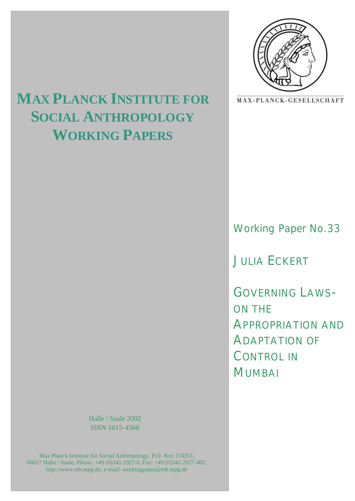

# **MAX PLANCK INSTITUTE FOR**  MAX-PLANCK-GESELLSCHAFT **SOCIAL ANTHROPOLOGY**

**WORKING PAPERS**

# Working Paper No.33

JULIA ECKERT

GOVERNING LAWS-ON THE APPROPRIATION AND ADAPTATION OF CONTROL IN MUMBAI

Halle / Saale 2002 ISSN 1615-4568

Max Planck Institute for Social Anthropology, P.O. Box 110351, 06017 Halle / Saale, Phone: +49 (0)345 2927-0, Fax: +49 (0)345 2927-402, http://www.eth.mpg.de, e-mail: workingpaper@eth.mpg.de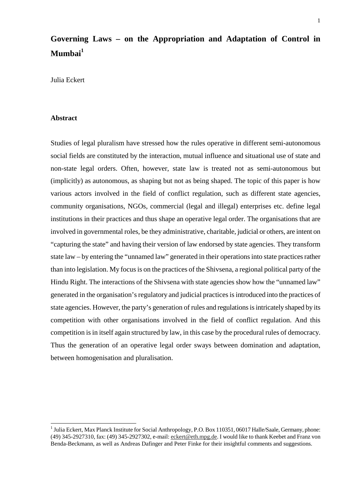# **Governing Laws – on the Appropriation and Adaptation of Control in Mumbai1**

Julia Eckert

#### **Abstract**

 $\overline{a}$ 

Studies of legal pluralism have stressed how the rules operative in different semi-autonomous social fields are constituted by the interaction, mutual influence and situational use of state and non-state legal orders. Often, however, state law is treated not as semi-autonomous but (implicitly) as autonomous, as shaping but not as being shaped. The topic of this paper is how various actors involved in the field of conflict regulation, such as different state agencies, community organisations, NGOs, commercial (legal and illegal) enterprises etc. define legal institutions in their practices and thus shape an operative legal order. The organisations that are involved in governmental roles, be they administrative, charitable, judicial or others, are intent on "capturing the state" and having their version of law endorsed by state agencies. They transform state law – by entering the "unnamed law" generated in their operations into state practices rather than into legislation. My focus is on the practices of the Shivsena, a regional political party of the Hindu Right. The interactions of the Shivsena with state agencies show how the "unnamed law" generated in the organisation's regulatory and judicial practices is introduced into the practices of state agencies. However, the party's generation of rules and regulations is intricately shaped by its competition with other organisations involved in the field of conflict regulation. And this competition is in itself again structured by law, in this case by the procedural rules of democracy. Thus the generation of an operative legal order sways between domination and adaptation, between homogenisation and pluralisation.

<sup>&</sup>lt;sup>1</sup> Julia Eckert, Max Planck Institute for Social Anthropology, P.O. Box 110351, 06017 Halle/Saale, Germany, phone: (49) 345-2927310, fax: (49) 345-2927302, e-mail: eckert@eth.mpg.de. I would like to thank Keebet and Franz von Benda-Beckmann, as well as Andreas Dafinger and Peter Finke for their insightful comments and suggestions.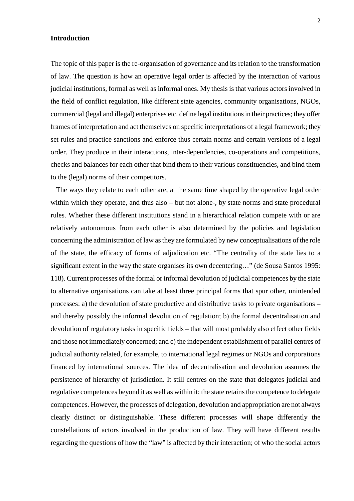## **Introduction**

The topic of this paper is the re-organisation of governance and its relation to the transformation of law. The question is how an operative legal order is affected by the interaction of various judicial institutions, formal as well as informal ones. My thesis is that various actors involved in the field of conflict regulation, like different state agencies, community organisations, NGOs, commercial (legal and illegal) enterprises etc. define legal institutions in their practices; they offer frames of interpretation and act themselves on specific interpretations of a legal framework; they set rules and practice sanctions and enforce thus certain norms and certain versions of a legal order. They produce in their interactions, inter-dependencies, co-operations and competitions, checks and balances for each other that bind them to their various constituencies, and bind them to the (legal) norms of their competitors.

 The ways they relate to each other are, at the same time shaped by the operative legal order within which they operate, and thus also – but not alone-, by state norms and state procedural rules. Whether these different institutions stand in a hierarchical relation compete with or are relatively autonomous from each other is also determined by the policies and legislation concerning the administration of law as they are formulated by new conceptualisations of the role of the state, the efficacy of forms of adjudication etc. "The centrality of the state lies to a significant extent in the way the state organises its own decentering..." (de Sousa Santos 1995: 118). Current processes of the formal or informal devolution of judicial competences by the state to alternative organisations can take at least three principal forms that spur other, unintended processes: a) the devolution of state productive and distributive tasks to private organisations – and thereby possibly the informal devolution of regulation; b) the formal decentralisation and devolution of regulatory tasks in specific fields – that will most probably also effect other fields and those not immediately concerned; and c) the independent establishment of parallel centres of judicial authority related, for example, to international legal regimes or NGOs and corporations financed by international sources. The idea of decentralisation and devolution assumes the persistence of hierarchy of jurisdiction. It still centres on the state that delegates judicial and regulative competences beyond it as well as within it; the state retains the competence to delegate competences. However, the processes of delegation, devolution and appropriation are not always clearly distinct or distinguishable. These different processes will shape differently the constellations of actors involved in the production of law. They will have different results regarding the questions of how the "law" is affected by their interaction; of who the social actors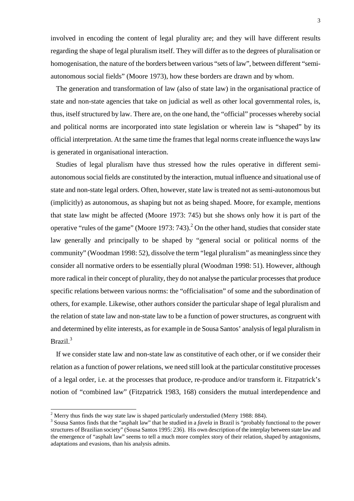involved in encoding the content of legal plurality are; and they will have different results regarding the shape of legal pluralism itself. They will differ as to the degrees of pluralisation or homogenisation, the nature of the borders between various "sets of law", between different "semiautonomous social fields" (Moore 1973), how these borders are drawn and by whom.

 The generation and transformation of law (also of state law) in the organisational practice of state and non-state agencies that take on judicial as well as other local governmental roles, is, thus, itself structured by law. There are, on the one hand, the "official" processes whereby social and political norms are incorporated into state legislation or wherein law is "shaped" by its official interpretation. At the same time the frames that legal norms create influence the ways law is generated in organisational interaction.

 Studies of legal pluralism have thus stressed how the rules operative in different semiautonomous social fields are constituted by the interaction, mutual influence and situational use of state and non-state legal orders. Often, however, state law is treated not as semi-autonomous but (implicitly) as autonomous, as shaping but not as being shaped. Moore, for example, mentions that state law might be affected (Moore 1973: 745) but she shows only how it is part of the operative "rules of the game" (Moore 1973: 743). $^2$  On the other hand, studies that consider state law generally and principally to be shaped by "general social or political norms of the community" (Woodman 1998: 52), dissolve the term "legal pluralism" as meaningless since they consider all normative orders to be essentially plural (Woodman 1998: 51). However, although more radical in their concept of plurality, they do not analyse the particular processes that produce specific relations between various norms: the "officialisation" of some and the subordination of others, for example. Likewise, other authors consider the particular shape of legal pluralism and the relation of state law and non-state law to be a function of power structures, as congruent with and determined by elite interests, as for example in de Sousa Santos' analysis of legal pluralism in Brazil.<sup>3</sup>

 If we consider state law and non-state law as constitutive of each other, or if we consider their relation as a function of power relations, we need still look at the particular constitutive processes of a legal order, i.e. at the processes that produce, re-produce and/or transform it. Fitzpatrick's notion of "combined law" (Fitzpatrick 1983, 168) considers the mutual interdependence and

<sup>&</sup>lt;sup>2</sup> Merry thus finds the way state law is shaped particularly understudied (Merry 1988: 884).

<sup>&</sup>lt;sup>3</sup> Sousa Santos finds that the "asphalt law" that he studied in a *favela* in Brazil is "probably functional to the power structures of Brazilian society" (Sousa Santos 1995: 236). His own description of the interplay between state law and the emergence of "asphalt law" seems to tell a much more complex story of their relation, shaped by antagonisms, adaptations and evasions, than his analysis admits.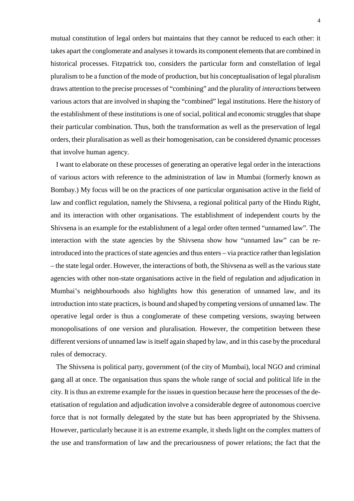mutual constitution of legal orders but maintains that they cannot be reduced to each other: it takes apart the conglomerate and analyses it towards its component elements that are combined in historical processes. Fitzpatrick too, considers the particular form and constellation of legal pluralism to be a function of the mode of production, but his conceptualisation of legal pluralism draws attention to the precise processes of "combining" and the plurality of *interactions* between various actors that are involved in shaping the "combined" legal institutions. Here the history of the establishment of these institutions is one of social, political and economic struggles that shape their particular combination. Thus, both the transformation as well as the preservation of legal orders, their pluralisation as well as their homogenisation, can be considered dynamic processes that involve human agency.

 I want to elaborate on these processes of generating an operative legal order in the interactions of various actors with reference to the administration of law in Mumbai (formerly known as Bombay.) My focus will be on the practices of one particular organisation active in the field of law and conflict regulation, namely the Shivsena, a regional political party of the Hindu Right, and its interaction with other organisations. The establishment of independent courts by the Shivsena is an example for the establishment of a legal order often termed "unnamed law". The interaction with the state agencies by the Shivsena show how "unnamed law" can be reintroduced into the practices of state agencies and thus enters – via practice rather than legislation – the state legal order. However, the interactions of both, the Shivsena as well as the various state agencies with other non-state organisations active in the field of regulation and adjudication in Mumbai's neighbourhoods also highlights how this generation of unnamed law, and its introduction into state practices, is bound and shaped by competing versions of unnamed law. The operative legal order is thus a conglomerate of these competing versions, swaying between monopolisations of one version and pluralisation. However, the competition between these different versions of unnamed law is itself again shaped by law, and in this case by the procedural rules of democracy.

 The Shivsena is political party, government (of the city of Mumbai), local NGO and criminal gang all at once. The organisation thus spans the whole range of social and political life in the city. It is thus an extreme example for the issues in question because here the processes of the deetatisation of regulation and adjudication involve a considerable degree of autonomous coercive force that is not formally delegated by the state but has been appropriated by the Shivsena. However, particularly because it is an extreme example, it sheds light on the complex matters of the use and transformation of law and the precariousness of power relations; the fact that the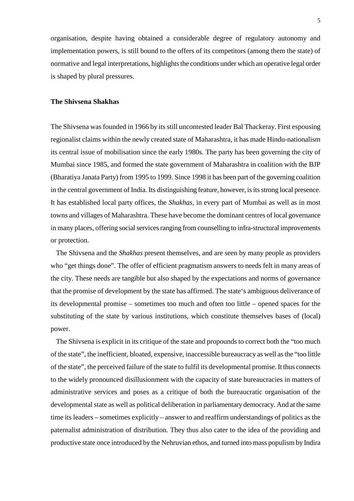organisation, despite having obtained a considerable degree of regulatory autonomy and implementation powers, is still bound to the offers of its competitors (among them the state) of normative and legal interpretations, highlights the conditions under which an operative legal order is shaped by plural pressures.

# **The Shivsena Shakhas**

The Shivsena was founded in 1966 by its still uncontested leader Bal Thackeray. First espousing regionalist claims within the newly created state of Maharashtra, it has made Hindu-nationalism its central issue of mobilisation since the early 1980s. The party has been governing the city of Mumbai since 1985, and formed the state government of Maharashtra in coalition with the BJP (Bharatiya Janata Party) from 1995 to 1999. Since 1998 it has been part of the governing coalition in the central government of India. Its distinguishing feature, however, is its strong local presence. It has established local party offices, the *Shakhas*, in every part of Mumbai as well as in most towns and villages of Maharashtra. These have become the dominant centres of local governance in many places, offering social services ranging from counselling to infra-structural improvements or protection.

 The Shivsena and the *Shakhas* present themselves, and are seen by many people as providers who "get things done". The offer of efficient pragmatism answers to needs felt in many areas of the city. These needs are tangible but also shaped by the expectations and norms of governance that the promise of development by the state has affirmed. The state's ambiguous deliverance of its developmental promise – sometimes too much and often too little – opened spaces for the substituting of the state by various institutions, which constitute themselves bases of (local) power.

 The Shivsena is explicit in its critique of the state and propounds to correct both the "too much of the state", the inefficient, bloated, expensive, inaccessible bureaucracy as well as the "too little of the state", the perceived failure of the state to fulfil its developmental promise. It thus connects to the widely pronounced disillusionment with the capacity of state bureaucracies in matters of administrative services and poses as a critique of both the bureaucratic organisation of the developmental state as well as political deliberation in parliamentary democracy. And at the same time its leaders – sometimes explicitly – answer to and reaffirm understandings of politics as the paternalist administration of distribution. They thus also cater to the idea of the providing and productive state once introduced by the Nehruvian ethos, and turned into mass populism by Indira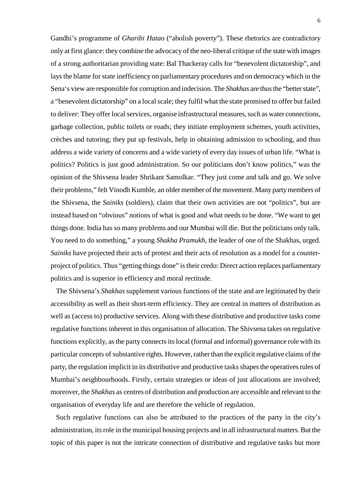Gandhi's programme of *Gharibi Hatao* ("abolish poverty"). These rhetorics are contradictory only at first glance: they combine the advocacy of the neo-liberal critique of the state with images of a strong authoritarian providing state: Bal Thackeray calls for "benevolent dictatorship", and lays the blame for state inefficiency on parliamentary procedures and on democracy which in the Sena's view are responsible for corruption and indecision. The *Shakhas* are thus the "better state", a "benevolent dictatorship" on a local scale; they fulfil what the state promised to offer but failed to deliver: They offer local services, organise infrastructural measures, such as water connections, garbage collection, public toilets or roads; they initiate employment schemes, youth activities, crèches and tutoring; they put up festivals, help in obtaining admission to schooling, and thus address a wide variety of concerns and a wide variety of every day issues of urban life. "What is politics? Politics is just good administration. So our politicians don't know politics," was the opinion of the Shivsena leader Shrikant Samolkar. "They just come and talk and go. We solve their problems," felt Vinodh Kumble, an older member of the movement. Many party members of the Shivsena, the *Sainiks* (soldiers), claim that their own activities are not "politics", but are instead based on "obvious" notions of what is good and what needs to be done. "We want to get things done. India has so many problems and our Mumbai will die. But the politicians only talk. You need to do something," a young *Shakha Pramukh*, the leader of one of the Shakhas, urged. *Sainiks* have projected their acts of protest and their acts of resolution as a model for a counterproject of politics. Thus "getting things done" is their credo: Direct action replaces parliamentary politics and is superior in efficiency and moral rectitude.

 The Shivsena's *Shakhas* supplement various functions of the state and are legitimated by their accessibility as well as their short-term efficiency. They are central in matters of distribution as well as (access to) productive services. Along with these distributive and productive tasks come regulative functions inherent in this organisation of allocation. The Shivsena takes on regulative functions explicitly, as the party connects its local (formal and informal) governance role with its particular concepts of substantive rights. However, rather than the explicit regulative claims of the party, the regulation implicit in its distributive and productive tasks shapes the operatives rules of Mumbai's neighbourhoods. Firstly, certain strategies or ideas of just allocations are involved; moreover, the *Shakhas* as centres of distribution and production are accessible and relevant to the organisation of everyday life and are therefore the vehicle of regulation.

 Such regulative functions can also be attributed to the practices of the party in the city's administration, its role in the municipal housing projects and in all infrastructural matters. But the topic of this paper is not the intricate connection of distributive and regulative tasks but more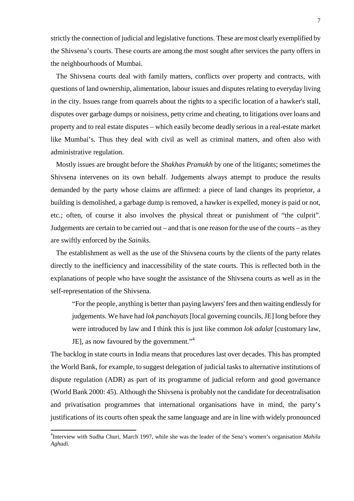strictly the connection of judicial and legislative functions. These are most clearly exemplified by the Shivsena's courts. These courts are among the most sought after services the party offers in the neighbourhoods of Mumbai.

 The Shivsena courts deal with family matters, conflicts over property and contracts, with questions of land ownership, alimentation, labour issues and disputes relating to everyday living in the city. Issues range from quarrels about the rights to a specific location of a hawker's stall, disputes over garbage dumps or noisiness, petty crime and cheating, to litigations over loans and property and to real estate disputes – which easily become deadly serious in a real-estate market like Mumbai's. Thus they deal with civil as well as criminal matters, and often also with administrative regulation.

 Mostly issues are brought before the *Shakhas Pramukh* by one of the litigants; sometimes the Shivsena intervenes on its own behalf. Judgements always attempt to produce the results demanded by the party whose claims are affirmed: a piece of land changes its proprietor, a building is demolished, a garbage dump is removed, a hawker is expelled, money is paid or not, etc.; often, of course it also involves the physical threat or punishment of "the culprit". Judgements are certain to be carried out – and that is one reason for the use of the courts – as they are swiftly enforced by the *Sainiks.*

 The establishment as well as the use of the Shivsena courts by the clients of the party relates directly to the inefficiency and inaccessibility of the state courts. This is reflected both in the explanations of people who have sought the assistance of the Shivsena courts as well as in the self-representation of the Shivsena.

"For the people, anything is better than paying lawyers' fees and then waiting endlessly for judgements. We have had *lok panchayats* [local governing councils, JE] long before they were introduced by law and I think this is just like common *lok adalat* [customary law, JE], as now favoured by the government."<sup>4</sup>

The backlog in state courts in India means that procedures last over decades. This has prompted the World Bank, for example, to suggest delegation of judicial tasks to alternative institutions of dispute regulation (ADR) as part of its programme of judicial reform and good governance (World Bank 2000: 45). Although the Shivsena is probably not the candidate for decentralisation and privatisation programmes that international organisations have in mind, the party's justifications of its courts often speak the same language and are in line with widely pronounced

<sup>4</sup> Interview with Sudha Churi, March 1997, while she was the leader of the Sena's women's organisation *Mahila Aghadi.*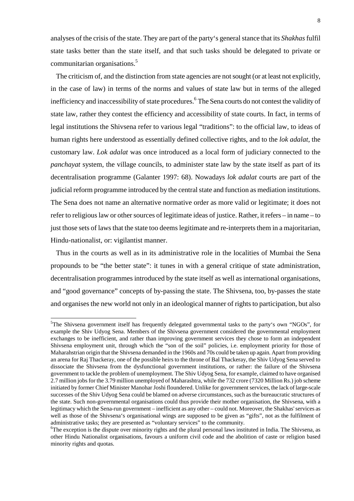analyses of the crisis of the state. They are part of the party's general stance that its *Shakhas* fulfil state tasks better than the state itself, and that such tasks should be delegated to private or communitarian organisations.<sup>5</sup>

 The criticism of, and the distinction from state agencies are not sought (or at least not explicitly, in the case of law) in terms of the norms and values of state law but in terms of the alleged inefficiency and inaccessibility of state procedures.<sup>6</sup> The Sena courts do not contest the validity of state law, rather they contest the efficiency and accessibility of state courts. In fact, in terms of legal institutions the Shivsena refer to various legal "traditions": to the official law, to ideas of human rights here understood as essentially defined collective rights, and to the *lok adalat*, the customary law. *Lok adalat* was once introduced as a local form of judiciary connected to the *panchayat* system, the village councils, to administer state law by the state itself as part of its decentralisation programme (Galanter 1997: 68). Nowadays *lok adalat* courts are part of the judicial reform programme introduced by the central state and function as mediation institutions. The Sena does not name an alternative normative order as more valid or legitimate; it does not refer to religious law or other sources of legitimate ideas of justice. Rather, it refers – in name – to just those sets of laws that the state too deems legitimate and re-interprets them in a majoritarian, Hindu-nationalist, or: vigilantist manner.

 Thus in the courts as well as in its administrative role in the localities of Mumbai the Sena propounds to be "the better state": it tunes in with a general critique of state administration, decentralisation programmes introduced by the state itself as well as international organisations, and "good governance" concepts of by-passing the state. The Shivsena, too, by-passes the state and organises the new world not only in an ideological manner of rights to participation, but also

<sup>&</sup>lt;sup>5</sup>The Shivsena government itself has frequently delegated governmental tasks to the party's own "NGOs", for example the Shiv Udyog Sena. Members of the Shivsena government considered the governmental employment exchanges to be inefficient, and rather than improving government services they chose to form an independent Shivsena employment unit, through which the "son of the soil" policies, i.e. employment priority for those of Maharahstrian origin that the Shivsena demanded in the 1960s and 70s could be taken up again. Apart from providing an arena for Raj Thackeray, one of the possible heirs to the throne of Bal Thackeray, the Shiv Udyog Sena served to dissociate the Shivsena from the dysfunctional government institutions, or rather: the failure of the Shivsena government to tackle the problem of unemployment. The Shiv Udyog Sena, for example, claimed to have organised 2.7 million jobs for the 3.79 million unemployed of Maharashtra, while the 732 crore (7320 Million Rs.) job scheme initiated by former Chief Minister Manohar Joshi floundered. Unlike for government services, the lack of large-scale successes of the Shiv Udyog Sena could be blamed on adverse circumstances, such as the bureaucratic structures of the state. Such non-governmental organisations could thus provide their mother organisation, the Shivsena, with a legitimacy which the Sena-run government – inefficient as any other – could not. Moreover, the Shakhas' services as well as those of the Shivsena's organisational wings are supposed to be given as "gifts", not as the fulfilment of administrative tasks; they are presented as "voluntary services" to the community.

 ${}^6$ The exception is the dispute over minority rights and the plural personal laws instituted in India. The Shivsena, as other Hindu Nationalist organisations, favours a uniform civil code and the abolition of caste or religion based minority rights and quotas.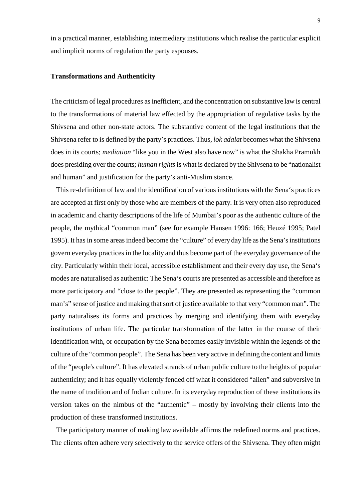in a practical manner, establishing intermediary institutions which realise the particular explicit and implicit norms of regulation the party espouses.

## **Transformations and Authenticity**

The criticism of legal procedures as inefficient, and the concentration on substantive law is central to the transformations of material law effected by the appropriation of regulative tasks by the Shivsena and other non-state actors. The substantive content of the legal institutions that the Shivsena refer to is defined by the party's practices. Thus, *lok adalat* becomes what the Shivsena does in its courts; *mediation* "like you in the West also have now" is what the Shakha Pramukh does presiding over the courts; *human rights* is what is declared by the Shivsena to be "nationalist and human" and justification for the party's anti-Muslim stance.

 This re-definition of law and the identification of various institutions with the Sena's practices are accepted at first only by those who are members of the party. It is very often also reproduced in academic and charity descriptions of the life of Mumbai's poor as the authentic culture of the people, the mythical "common man" (see for example Hansen 1996: 166; Heuzé 1995; Patel 1995). It has in some areas indeed become the "culture" of every day life as the Sena's institutions govern everyday practices in the locality and thus become part of the everyday governance of the city. Particularly within their local, accessible establishment and their every day use, the Sena's modes are naturalised as authentic: The Sena's courts are presented as accessible and therefore as more participatory and "close to the people". They are presented as representing the "common man's" sense of justice and making that sort of justice available to that very "common man". The party naturalises its forms and practices by merging and identifying them with everyday institutions of urban life. The particular transformation of the latter in the course of their identification with, or occupation by the Sena becomes easily invisible within the legends of the culture of the "common people". The Sena has been very active in defining the content and limits of the "people's culture". It has elevated strands of urban public culture to the heights of popular authenticity; and it has equally violently fended off what it considered "alien" and subversive in the name of tradition and of Indian culture. In its everyday reproduction of these institutions its version takes on the nimbus of the "authentic" – mostly by involving their clients into the production of these transformed institutions.

 The participatory manner of making law available affirms the redefined norms and practices. The clients often adhere very selectively to the service offers of the Shivsena. They often might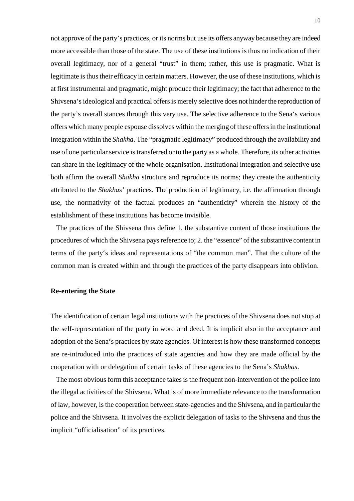not approve of the party's practices, or its norms but use its offers anyway because they are indeed more accessible than those of the state. The use of these institutions is thus no indication of their overall legitimacy, nor of a general "trust" in them; rather, this use is pragmatic. What is legitimate is thus their efficacy in certain matters. However, the use of these institutions, which is at first instrumental and pragmatic, might produce their legitimacy; the fact that adherence to the Shivsena's ideological and practical offers is merely selective does not hinder the reproduction of the party's overall stances through this very use. The selective adherence to the Sena's various offers which many people espouse dissolves within the merging of these offers in the institutional integration within the *Shakha*. The "pragmatic legitimacy" produced through the availability and use of one particular service is transferred onto the party as a whole. Therefore, its other activities can share in the legitimacy of the whole organisation. Institutional integration and selective use both affirm the overall *Shakha* structure and reproduce its norms; they create the authenticity attributed to the *Shakhas*' practices. The production of legitimacy, i.e. the affirmation through use, the normativity of the factual produces an "authenticity" wherein the history of the establishment of these institutions has become invisible.

 The practices of the Shivsena thus define 1. the substantive content of those institutions the procedures of which the Shivsena pays reference to; 2. the "essence" of the substantive content in terms of the party's ideas and representations of "the common man". That the culture of the common man is created within and through the practices of the party disappears into oblivion.

# **Re-entering the State**

The identification of certain legal institutions with the practices of the Shivsena does not stop at the self-representation of the party in word and deed. It is implicit also in the acceptance and adoption of the Sena's practices by state agencies. Of interest is how these transformed concepts are re-introduced into the practices of state agencies and how they are made official by the cooperation with or delegation of certain tasks of these agencies to the Sena's *Shakhas*.

 The most obvious form this acceptance takes is the frequent non-intervention of the police into the illegal activities of the Shivsena. What is of more immediate relevance to the transformation of law, however, is the cooperation between state-agencies and the Shivsena, and in particular the police and the Shivsena. It involves the explicit delegation of tasks to the Shivsena and thus the implicit "officialisation" of its practices.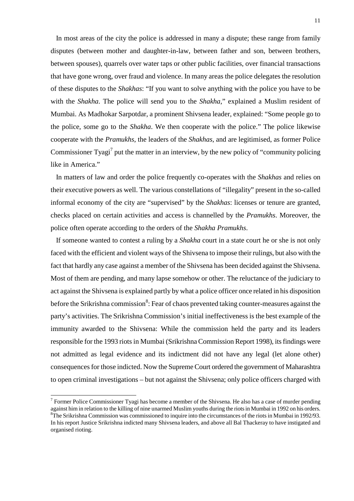In most areas of the city the police is addressed in many a dispute; these range from family disputes (between mother and daughter-in-law, between father and son, between brothers, between spouses), quarrels over water taps or other public facilities, over financial transactions that have gone wrong, over fraud and violence. In many areas the police delegates the resolution of these disputes to the *Shakhas*: "If you want to solve anything with the police you have to be with the *Shakha*. The police will send you to the *Shakha*," explained a Muslim resident of Mumbai. As Madhokar Sarpotdar, a prominent Shivsena leader, explained: "Some people go to the police, some go to the *Shakha*. We then cooperate with the police." The police likewise cooperate with the *Pramukhs*, the leaders of the *Shakhas*, and are legitimised, as former Police Commissioner Tyagi<sup>7</sup> put the matter in an interview, by the new policy of "community policing like in America."

 In matters of law and order the police frequently co-operates with the *Shakhas* and relies on their executive powers as well. The various constellations of "illegality" present in the so-called informal economy of the city are "supervised" by the *Shakhas*: licenses or tenure are granted, checks placed on certain activities and access is channelled by the *Pramukhs*. Moreover, the police often operate according to the orders of the *Shakha Pramukhs*.

 If someone wanted to contest a ruling by a *Shakha* court in a state court he or she is not only faced with the efficient and violent ways of the Shivsena to impose their rulings, but also with the fact that hardly any case against a member of the Shivsena has been decided against the Shivsena. Most of them are pending, and many lapse somehow or other. The reluctance of the judiciary to act against the Shivsena is explained partly by what a police officer once related in his disposition before the Srikrishna commission<sup>8</sup>: Fear of chaos prevented taking counter-measures against the party's activities. The Srikrishna Commission's initial ineffectiveness is the best example of the immunity awarded to the Shivsena: While the commission held the party and its leaders responsible for the 1993 riots in Mumbai (Srikrishna Commission Report 1998), its findings were not admitted as legal evidence and its indictment did not have any legal (let alone other) consequences for those indicted. Now the Supreme Court ordered the government of Maharashtra to open criminal investigations – but not against the Shivsena; only police officers charged with

<sup>&</sup>lt;sup>7</sup> Former Police Commissioner Tyagi has become a member of the Shivsena. He also has a case of murder pending against him in relation to the killing of nine unarmed Muslim youths during the riots in Mumbai in 1992 on his orders. <sup>8</sup>The Srikrishna Commission was commissioned to inquire into the circumstances of the riots in Mumbai in 1992/93. In his report Justice Srikrishna indicted many Shivsena leaders, and above all Bal Thackeray to have instigated and organised rioting.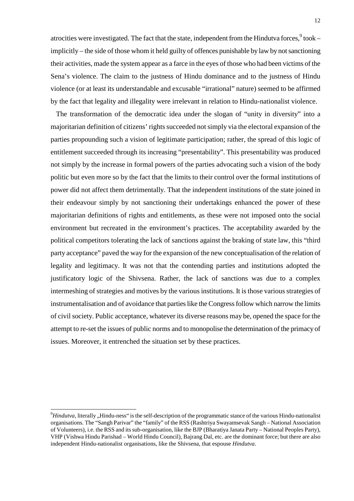atrocities were investigated. The fact that the state, independent from the Hindutva forces, $^9$  took – implicitly – the side of those whom it held guilty of offences punishable by law by not sanctioning their activities, made the system appear as a farce in the eyes of those who had been victims of the Sena's violence. The claim to the justness of Hindu dominance and to the justness of Hindu violence (or at least its understandable and excusable "irrational" nature) seemed to be affirmed by the fact that legality and illegality were irrelevant in relation to Hindu-nationalist violence.

 The transformation of the democratic idea under the slogan of "unity in diversity" into a majoritarian definition of citizens' rights succeeded not simply via the electoral expansion of the parties propounding such a vision of legitimate participation; rather, the spread of this logic of entitlement succeeded through its increasing "presentability". This presentability was produced not simply by the increase in formal powers of the parties advocating such a vision of the body politic but even more so by the fact that the limits to their control over the formal institutions of power did not affect them detrimentally. That the independent institutions of the state joined in their endeavour simply by not sanctioning their undertakings enhanced the power of these majoritarian definitions of rights and entitlements, as these were not imposed onto the social environment but recreated in the environment's practices. The acceptability awarded by the political competitors tolerating the lack of sanctions against the braking of state law, this "third party acceptance" paved the way for the expansion of the new conceptualisation of the relation of legality and legitimacy. It was not that the contending parties and institutions adopted the justificatory logic of the Shivsena. Rather, the lack of sanctions was due to a complex intermeshing of strategies and motives by the various institutions. It is those various strategies of instrumentalisation and of avoidance that parties like the Congress follow which narrow the limits of civil society. Public acceptance, whatever its diverse reasons may be, opened the space for the attempt to re-set the issues of public norms and to monopolise the determination of the primacy of issues. Moreover, it entrenched the situation set by these practices.

 $^{9}$ *Hindutva*, literally "Hindu-ness" is the self-description of the programmatic stance of the various Hindu-nationalist organisations. The "Sangh Parivar" the "family" of the RSS (Rashtriya Swayamsevak Sangh – National Association of Volunteers), i.e. the RSS and its sub-organisation, like the BJP (Bharatiya Janata Party – National Peoples Party), VHP (Vishwa Hindu Parishad – World Hindu Council), Bajrang Dal, etc. are the dominant force; but there are also independent Hindu-nationalist organisations, like the Shivsena, that espouse *Hindutva*.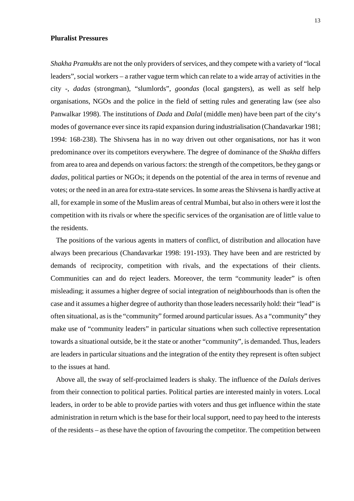#### **Pluralist Pressures**

*Shakha Pramukhs* are not the only providers of services, and they compete with a variety of "local leaders", social workers – a rather vague term which can relate to a wide array of activities in the city -, *dadas* (strongman), "slumlords", *goondas* (local gangsters), as well as self help organisations, NGOs and the police in the field of setting rules and generating law (see also Panwalkar 1998). The institutions of *Dada* and *Dalal* (middle men) have been part of the city's modes of governance ever since its rapid expansion during industrialisation (Chandavarkar 1981; 1994: 168-238). The Shivsena has in no way driven out other organisations, nor has it won predominance over its competitors everywhere. The degree of dominance of the *Shakha* differs from area to area and depends on various factors: the strength of the competitors, be they gangs or *dadas*, political parties or NGOs; it depends on the potential of the area in terms of revenue and votes; or the need in an area for extra-state services. In some areas the Shivsena is hardly active at all, for example in some of the Muslim areas of central Mumbai, but also in others were it lost the competition with its rivals or where the specific services of the organisation are of little value to the residents.

 The positions of the various agents in matters of conflict, of distribution and allocation have always been precarious (Chandavarkar 1998: 191-193). They have been and are restricted by demands of reciprocity, competition with rivals, and the expectations of their clients. Communities can and do reject leaders. Moreover, the term "community leader" is often misleading; it assumes a higher degree of social integration of neighbourhoods than is often the case and it assumes a higher degree of authority than those leaders necessarily hold: their "lead" is often situational, as is the "community" formed around particular issues. As a "community" they make use of "community leaders" in particular situations when such collective representation towards a situational outside, be it the state or another "community", is demanded. Thus, leaders are leaders in particular situations and the integration of the entity they represent is often subject to the issues at hand.

 Above all, the sway of self-proclaimed leaders is shaky. The influence of the *Dalals* derives from their connection to political parties. Political parties are interested mainly in voters. Local leaders, in order to be able to provide parties with voters and thus get influence within the state administration in return which is the base for their local support, need to pay heed to the interests of the residents – as these have the option of favouring the competitor. The competition between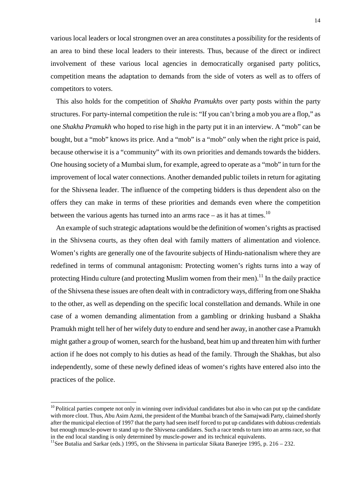various local leaders or local strongmen over an area constitutes a possibility for the residents of an area to bind these local leaders to their interests. Thus, because of the direct or indirect involvement of these various local agencies in democratically organised party politics, competition means the adaptation to demands from the side of voters as well as to offers of competitors to voters.

 This also holds for the competition of *Shakha Pramukhs* over party posts within the party structures. For party-internal competition the rule is: "If you can't bring a mob you are a flop," as one *Shakha Pramukh* who hoped to rise high in the party put it in an interview. A "mob" can be bought, but a "mob" knows its price. And a "mob" is a "mob" only when the right price is paid, because otherwise it is a "community" with its own priorities and demands towards the bidders. One housing society of a Mumbai slum, for example, agreed to operate as a "mob" in turn for the improvement of local water connections. Another demanded public toilets in return for agitating for the Shivsena leader. The influence of the competing bidders is thus dependent also on the offers they can make in terms of these priorities and demands even where the competition between the various agents has turned into an arms race  $-$  as it has at times.<sup>10</sup>

 An example of such strategic adaptations would be the definition of women's rights as practised in the Shivsena courts, as they often deal with family matters of alimentation and violence. Women's rights are generally one of the favourite subjects of Hindu-nationalism where they are redefined in terms of communal antagonism: Protecting women's rights turns into a way of protecting Hindu culture (and protecting Muslim women from their men).<sup>11</sup> In the daily practice of the Shivsena these issues are often dealt with in contradictory ways, differing from one Shakha to the other, as well as depending on the specific local constellation and demands. While in one case of a women demanding alimentation from a gambling or drinking husband a Shakha Pramukh might tell her of her wifely duty to endure and send her away, in another case a Pramukh might gather a group of women, search for the husband, beat him up and threaten him with further action if he does not comply to his duties as head of the family. Through the Shakhas, but also independently, some of these newly defined ideas of women's rights have entered also into the practices of the police.

 $10$  Political parties compete not only in winning over individual candidates but also in who can put up the candidate with more clout. Thus, Abu Asim Azmi, the president of the Mumbai branch of the Samajwadi Party, claimed shortly after the municipal election of 1997 that the party had seen itself forced to put up candidates with dubious credentials but enough muscle-power to stand up to the Shivsena candidates. Such a race tends to turn into an arms race, so that in the end local standing is only determined by muscle-power and its technical equivalents.

<sup>&</sup>lt;sup>11</sup>See Butalia and Sarkar (eds.) 1995, on the Shivsena in particular Sikata Banerjee 1995, p. 216 – 232.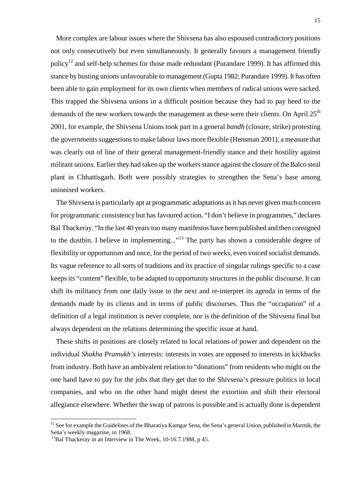More complex are labour issues where the Shivsena has also espoused contradictory positions not only consecutively but even simultaneously. It generally favours a management friendly policy<sup>12</sup> and self-help schemes for those made redundant (Purandare 1999). It has affirmed this stance by busting unions unfavourable to management (Gupta 1982; Purandare 1999). It has often been able to gain employment for its own clients when members of radical unions were sacked. This trapped the Shivsena unions in a difficult position because they had to pay heed to the demands of the new workers towards the management as these were their clients. On April  $25<sup>th</sup>$ 2001, for example, the Shivsena Unions took part in a general *bandh* (closure, strike) protesting the governments suggestions to make labour laws more flexible (Hensman 2001), a measure that was clearly out of line of their general management-friendly stance and their hostility against militant unions. Earlier they had taken up the workers stance against the closure of the Balco steal plant in Chhattisgarh. Both were possibly strategies to strengthen the Sena's base among unionised workers.

 The Shivsena is particularly apt at programmatic adaptations as it has never given much concern for programmatic consistency but has favoured action. "I don't believe in programmes," declares Bal Thackeray. "In the last 40 years too many manifestos have been published and then consigned to the dustbin. I believe in implementing..."<sup>13</sup> The party has shown a considerable degree of flexibility or opportunism and once, for the period of two weeks, even voiced socialist demands. Its vague reference to all sorts of traditions and its practice of singular rulings specific to a case keeps its "content" flexible, to be adapted to opportunity structures in the public discourse. It can shift its militancy from one daily issue to the next and re-interpret its agenda in terms of the demands made by its clients and in terms of public discourses. Thus the "occupation" of a definition of a legal institution is never complete, nor is the definition of the Shivsena final but always dependent on the relations determining the specific issue at hand.

 These shifts in positions are closely related to local relations of power and dependent on the individual *Shakha Pramukh's* interests: interests in votes are opposed to interests in kickbacks from industry. Both have an ambivalent relation to "donations" from residents who might on the one hand have to pay for the jobs that they get due to the Shivsena's pressure politics in local companies, and who on the other hand might detest the extortion and shift their electoral allegiance elsewhere. Whether the swap of patrons is possible and is actually done is dependent

 $12$  See for example the Guidelines of the Bharatiya Kamgar Sena, the Sena's general Union, published in Marmik, the Sena's weekly magazine, in 1968.<br><sup>13</sup>Bal Thackeray in an Interview in The Week, 10-16.7.1988, p 45.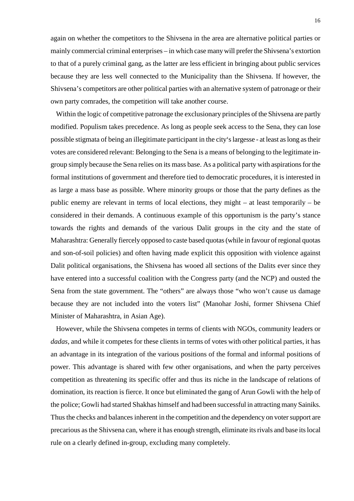again on whether the competitors to the Shivsena in the area are alternative political parties or mainly commercial criminal enterprises – in which case many will prefer the Shivsena's extortion to that of a purely criminal gang, as the latter are less efficient in bringing about public services because they are less well connected to the Municipality than the Shivsena. If however, the Shivsena's competitors are other political parties with an alternative system of patronage or their own party comrades, the competition will take another course.

 Within the logic of competitive patronage the exclusionary principles of the Shivsena are partly modified. Populism takes precedence. As long as people seek access to the Sena, they can lose possible stigmata of being an illegitimate participant in the city's largesse - at least as long as their votes are considered relevant: Belonging to the Sena is a means of belonging to the legitimate ingroup simply because the Sena relies on its mass base. As a political party with aspirations for the formal institutions of government and therefore tied to democratic procedures, it is interested in as large a mass base as possible. Where minority groups or those that the party defines as the public enemy are relevant in terms of local elections, they might – at least temporarily – be considered in their demands. A continuous example of this opportunism is the party's stance towards the rights and demands of the various Dalit groups in the city and the state of Maharashtra: Generally fiercely opposed to caste based quotas (while in favour of regional quotas and son-of-soil policies) and often having made explicit this opposition with violence against Dalit political organisations, the Shivsena has wooed all sections of the Dalits ever since they have entered into a successful coalition with the Congress party (and the NCP) and ousted the Sena from the state government. The "others" are always those "who won't cause us damage because they are not included into the voters list" (Manohar Joshi, former Shivsena Chief Minister of Maharashtra, in Asian Age).

 However, while the Shivsena competes in terms of clients with NGOs, community leaders or *dadas*, and while it competes for these clients in terms of votes with other political parties, it has an advantage in its integration of the various positions of the formal and informal positions of power. This advantage is shared with few other organisations, and when the party perceives competition as threatening its specific offer and thus its niche in the landscape of relations of domination, its reaction is fierce. It once but eliminated the gang of Arun Gowli with the help of the police; Gowli had started Shakhas himself and had been successful in attracting many Sainiks. Thus the checks and balances inherent in the competition and the dependency on voter support are precarious as the Shivsena can, where it has enough strength, eliminate its rivals and base its local rule on a clearly defined in-group, excluding many completely.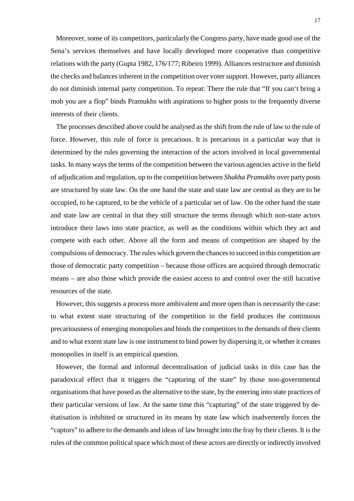Moreover, some of its competitors, particularly the Congress party, have made good use of the Sena's services themselves and have locally developed more cooperative than competitive relations with the party (Gupta 1982, 176/177; Ribeiro 1999). Alliances restructure and diminish the checks and balances inherent in the competition over voter support. However, party alliances do not diminish internal party competition. To repeat: There the rule that "If you can't bring a mob you are a flop" binds Pramukhs with aspirations to higher posts to the frequently diverse interests of their clients.

 The processes described above could be analysed as the shift from the rule of law to the rule of force. However, this rule of force is precarious. It is precarious in a particular way that is determined by the rules governing the interaction of the actors involved in local governmental tasks. In many ways the terms of the competition between the various agencies active in the field of adjudication and regulation, up to the competition between *Shakha Pramukhs* over party posts are structured by state law. On the one hand the state and state law are central as they are to be occupied, to be captured, to be the vehicle of a particular set of law. On the other hand the state and state law are central in that they still structure the terms through which non-state actors introduce their laws into state practice, as well as the conditions within which they act and compete with each other. Above all the form and means of competition are shaped by the compulsions of democracy. The rules which govern the chances to succeed in this competition are those of democratic party competition – because those offices are acquired through democratic means – are also those which provide the easiest access to and control over the still lucrative resources of the state.

 However, this suggests a process more ambivalent and more open than is necessarily the case: to what extent state structuring of the competition in the field produces the continuous precariousness of emerging monopolies and binds the competitors to the demands of their clients and to what extent state law is one instrument to bind power by dispersing it, or whether it creates monopolies in itself is an empirical question.

 However, the formal and informal decentralisation of judicial tasks in this case has the paradoxical effect that it triggers the "capturing of the state" by those non-governmental organisations that have posed as the alternative to the state, by the entering into state practices of their particular versions of law. At the same time this "capturing" of the state triggered by deétatisation is inhibited or structured in its means by state law which inadvertently forces the "captors" to adhere to the demands and ideas of law brought into the fray by their clients. It is the rules of the common political space which most of these actors are directly or indirectly involved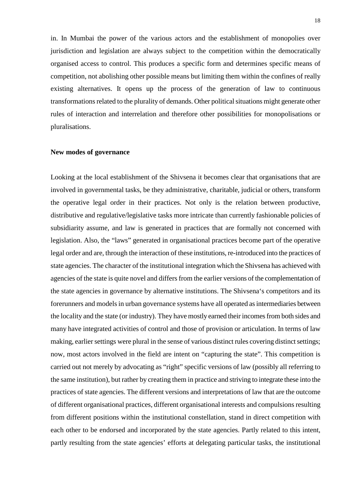in. In Mumbai the power of the various actors and the establishment of monopolies over jurisdiction and legislation are always subject to the competition within the democratically organised access to control. This produces a specific form and determines specific means of competition, not abolishing other possible means but limiting them within the confines of really existing alternatives. It opens up the process of the generation of law to continuous transformations related to the plurality of demands. Other political situations might generate other rules of interaction and interrelation and therefore other possibilities for monopolisations or pluralisations.

## **New modes of governance**

Looking at the local establishment of the Shivsena it becomes clear that organisations that are involved in governmental tasks, be they administrative, charitable, judicial or others, transform the operative legal order in their practices. Not only is the relation between productive, distributive and regulative/legislative tasks more intricate than currently fashionable policies of subsidiarity assume, and law is generated in practices that are formally not concerned with legislation. Also, the "laws" generated in organisational practices become part of the operative legal order and are, through the interaction of these institutions, re-introduced into the practices of state agencies. The character of the institutional integration which the Shivsena has achieved with agencies of the state is quite novel and differs from the earlier versions of the complementation of the state agencies in governance by alternative institutions. The Shivsena's competitors and its forerunners and models in urban governance systems have all operated as intermediaries between the locality and the state (or industry). They have mostly earned their incomes from both sides and many have integrated activities of control and those of provision or articulation. In terms of law making, earlier settings were plural in the sense of various distinct rules covering distinct settings; now, most actors involved in the field are intent on "capturing the state". This competition is carried out not merely by advocating as "right" specific versions of law (possibly all referring to the same institution), but rather by creating them in practice and striving to integrate these into the practices of state agencies. The different versions and interpretations of law that are the outcome of different organisational practices, different organisational interests and compulsions resulting from different positions within the institutional constellation, stand in direct competition with each other to be endorsed and incorporated by the state agencies. Partly related to this intent, partly resulting from the state agencies' efforts at delegating particular tasks, the institutional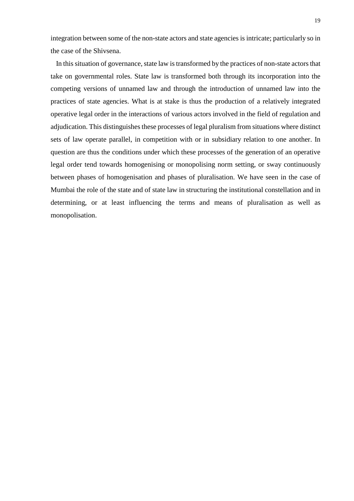integration between some of the non-state actors and state agencies is intricate; particularly so in the case of the Shivsena.

 In this situation of governance, state law is transformed by the practices of non-state actors that take on governmental roles. State law is transformed both through its incorporation into the competing versions of unnamed law and through the introduction of unnamed law into the practices of state agencies. What is at stake is thus the production of a relatively integrated operative legal order in the interactions of various actors involved in the field of regulation and adjudication. This distinguishes these processes of legal pluralism from situations where distinct sets of law operate parallel, in competition with or in subsidiary relation to one another. In question are thus the conditions under which these processes of the generation of an operative legal order tend towards homogenising or monopolising norm setting, or sway continuously between phases of homogenisation and phases of pluralisation. We have seen in the case of Mumbai the role of the state and of state law in structuring the institutional constellation and in determining, or at least influencing the terms and means of pluralisation as well as monopolisation.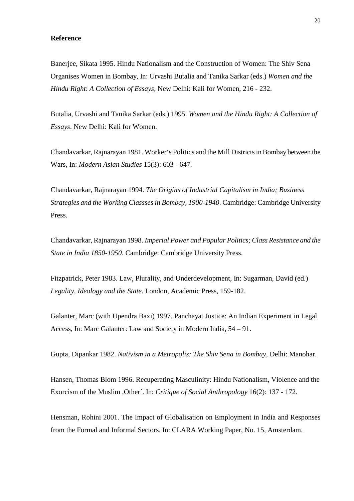## **Reference**

Banerjee, Sikata 1995. Hindu Nationalism and the Construction of Women: The Shiv Sena Organises Women in Bombay, In: Urvashi Butalia and Tanika Sarkar (eds.) *Women and the Hindu Right*: *A Collection of Essays*, New Delhi: Kali for Women, 216 - 232.

Butalia, Urvashi and Tanika Sarkar (eds.) 1995. *Women and the Hindu Right: A Collection of Essays*. New Delhi: Kali for Women.

Chandavarkar, Rajnarayan 1981. Worker's Politics and the Mill Districts in Bombay between the Wars, In: *Modern Asian Studies* 15(3): 603 - 647.

Chandavarkar, Rajnarayan 1994. *The Origins of Industrial Capitalism in India; Business Strategies and the Working Classses in Bombay, 1900-1940*. Cambridge: Cambridge University Press.

Chandavarkar, Rajnarayan 1998. *Imperial Power and Popular Politics; Class Resistance and the State in India 1850-1950*. Cambridge: Cambridge University Press.

Fitzpatrick, Peter 1983. Law, Plurality, and Underdevelopment, In: Sugarman, David (ed.) *Legality, Ideology and the State*. London, Academic Press, 159-182.

Galanter, Marc (with Upendra Baxi) 1997. Panchayat Justice: An Indian Experiment in Legal Access, In: Marc Galanter: Law and Society in Modern India, 54 – 91.

Gupta, Dipankar 1982. *Nativism in a Metropolis: The Shiv Sena in Bombay*, Delhi: Manohar.

Hansen, Thomas Blom 1996. Recuperating Masculinity: Hindu Nationalism, Violence and the Exorcism of the Muslim ,Other´. In: *Critique of Social Anthropology* 16(2): 137 - 172.

Hensman, Rohini 2001. The Impact of Globalisation on Employment in India and Responses from the Formal and Informal Sectors. In: CLARA Working Paper, No. 15, Amsterdam.